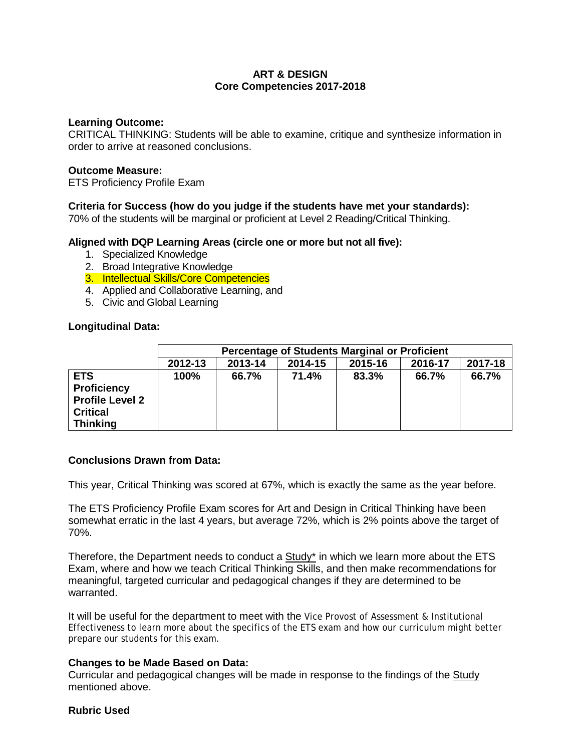# **ART & DESIGN Core Competencies 2017-2018**

### **Learning Outcome:**

CRITICAL THINKING: Students will be able to examine, critique and synthesize information in order to arrive at reasoned conclusions.

#### **Outcome Measure:**

ETS Proficiency Profile Exam

# **Criteria for Success (how do you judge if the students have met your standards):**

70% of the students will be marginal or proficient at Level 2 Reading/Critical Thinking.

### **Aligned with DQP Learning Areas (circle one or more but not all five):**

- 1. Specialized Knowledge
- 2. Broad Integrative Knowledge
- 3. Intellectual Skills/Core Competencies
- 4. Applied and Collaborative Learning, and
- 5. Civic and Global Learning

### **Longitudinal Data:**

|                                                                                                  | <b>Percentage of Students Marginal or Proficient</b> |         |         |         |         |         |  |  |  |
|--------------------------------------------------------------------------------------------------|------------------------------------------------------|---------|---------|---------|---------|---------|--|--|--|
|                                                                                                  | 2012-13                                              | 2013-14 | 2014-15 | 2015-16 | 2016-17 | 2017-18 |  |  |  |
| <b>ETS</b><br><b>Proficiency</b><br><b>Profile Level 2</b><br><b>Critical</b><br><b>Thinking</b> | 100%                                                 | 66.7%   | 71.4%   | 83.3%   | 66.7%   | 66.7%   |  |  |  |

### **Conclusions Drawn from Data:**

This year, Critical Thinking was scored at 67%, which is exactly the same as the year before.

The ETS Proficiency Profile Exam scores for Art and Design in Critical Thinking have been somewhat erratic in the last 4 years, but average 72%, which is 2% points above the target of 70%.

Therefore, the Department needs to conduct a  $Study^*$  in which we learn more about the ETS Exam, where and how we teach Critical Thinking Skills, and then make recommendations for meaningful, targeted curricular and pedagogical changes if they are determined to be warranted.

It will be useful for the department to meet with the Vice Provost of Assessment & Institutional Effectiveness to learn more about the specifics of the ETS exam and how our curriculum might better prepare our students for this exam.

### **Changes to be Made Based on Data:**

Curricular and pedagogical changes will be made in response to the findings of the Study mentioned above.

#### **Rubric Used**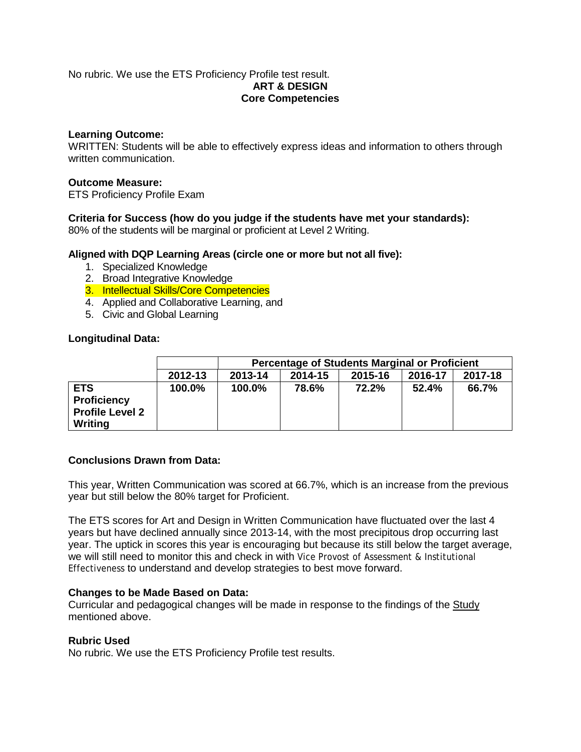## No rubric. We use the ETS Proficiency Profile test result. **ART & DESIGN Core Competencies**

# **Learning Outcome:**

WRITTEN: Students will be able to effectively express ideas and information to others through written communication.

### **Outcome Measure:**

ETS Proficiency Profile Exam

### **Criteria for Success (how do you judge if the students have met your standards):**

80% of the students will be marginal or proficient at Level 2 Writing.

# **Aligned with DQP Learning Areas (circle one or more but not all five):**

- 1. Specialized Knowledge
- 2. Broad Integrative Knowledge
- 3. Intellectual Skills/Core Competencies
- 4. Applied and Collaborative Learning, and
- 5. Civic and Global Learning

### **Longitudinal Data:**

|                                                                       |         | Percentage of Students Marginal or Proficient |                                          |       |       |       |  |  |  |  |  |
|-----------------------------------------------------------------------|---------|-----------------------------------------------|------------------------------------------|-------|-------|-------|--|--|--|--|--|
|                                                                       | 2012-13 | 2013-14                                       | 2017-18<br>2014-15<br>2016-17<br>2015-16 |       |       |       |  |  |  |  |  |
| <b>ETS</b><br><b>Proficiency</b><br><b>Profile Level 2</b><br>Writing | 100.0%  | 100.0%                                        | 78.6%                                    | 72.2% | 52.4% | 66.7% |  |  |  |  |  |

## **Conclusions Drawn from Data:**

This year, Written Communication was scored at 66.7%, which is an increase from the previous year but still below the 80% target for Proficient.

The ETS scores for Art and Design in Written Communication have fluctuated over the last 4 years but have declined annually since 2013-14, with the most precipitous drop occurring last year. The uptick in scores this year is encouraging but because its still below the target average, we will still need to monitor this and check in with Vice Provost of Assessment & Institutional Effectiveness to understand and develop strategies to best move forward.

### **Changes to be Made Based on Data:**

Curricular and pedagogical changes will be made in response to the findings of the Study mentioned above.

### **Rubric Used**

No rubric. We use the ETS Proficiency Profile test results.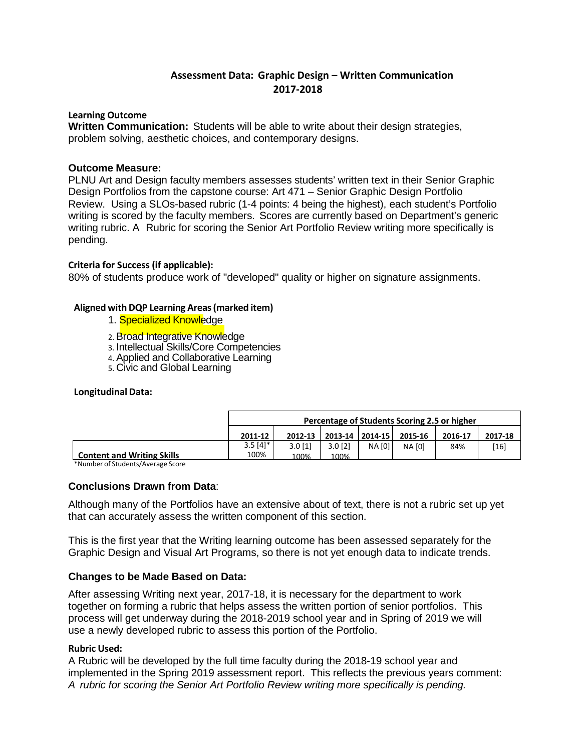# **Assessment Data: Graphic Design – Written Communication 2017-2018**

#### **Learning Outcome**

 **Written Communication:** Students will be able to write about their design strategies, problem solving, aesthetic choices, and contemporary designs.

### **Outcome Measure:**

PLNU Art and Design faculty members assesses students' written text in their Senior Graphic Design Portfolios from the capstone course: Art 471 – Senior Graphic Design Portfolio Review. Using a SLOs-based rubric (1-4 points: 4 being the highest), each student's Portfolio writing is scored by the faculty members. Scores are currently based on Department's generic writing rubric. A Rubric for scoring the Senior Art Portfolio Review writing more specifically is pending.

#### **Criteria for Success (if applicable):**

80% of students produce work of "developed" quality or higher on signature assignments.

#### **Aligned withDQP Learning Areas(marked item)**

- 1. **Specialized Knowledge**
- 2. Broad Integrative Knowledge
- 3. Intellectual Skills/Core Competencies
- 4. Applied and Collaborative Learning
- 5. Civic and Global Learning

#### **Longitudinal Data:**

|                                   | Percentage of Students Scoring 2.5 or higher |         |           |                 |         |         |         |
|-----------------------------------|----------------------------------------------|---------|-----------|-----------------|---------|---------|---------|
|                                   | 2011-12                                      | 2012-13 |           | 2013-14 2014-15 | 2015-16 | 2016-17 | 2017-18 |
|                                   | $3.5[4]*$                                    | 3.0[1]  | $3.0$ [2] | <b>NA [0]</b>   | NA [0]  | 84%     | [16]    |
| <b>Content and Writing Skills</b> | 100%                                         | 100%    | 100%      |                 |         |         |         |

**Content and Writing Skills** \*Number of Students/Average Score

### **Conclusions Drawn from Data**:

Although many of the Portfolios have an extensive about of text, there is not a rubric set up yet that can accurately assess the written component of this section.

This is the first year that the Writing learning outcome has been assessed separately for the Graphic Design and Visual Art Programs, so there is not yet enough data to indicate trends.

### **Changes to be Made Based on Data:**

After assessing Writing next year, 2017-18, it is necessary for the department to work together on forming a rubric that helps assess the written portion of senior portfolios. This process will get underway during the 2018-2019 school year and in Spring of 2019 we will use a newly developed rubric to assess this portion of the Portfolio.

#### **Rubric Used:**

A Rubric will be developed by the full time faculty during the 2018-19 school year and implemented in the Spring 2019 assessment report. This reflects the previous years comment: *A rubric for scoring the Senior Art Portfolio Review writing more specifically is pending.*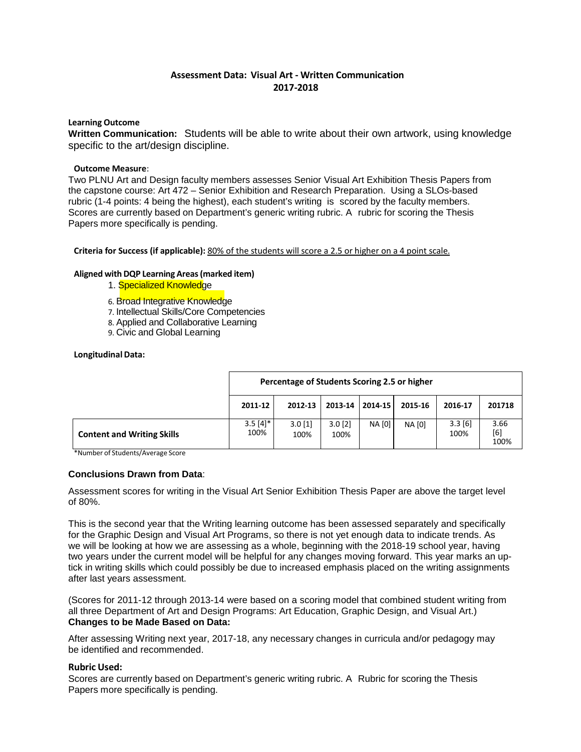# **Assessment Data: Visual Art - Written Communication 2017-2018**

#### **Learning Outcome**

**Written Communication:** Students will be able to write about their own artwork, using knowledge specific to the art/design discipline.

#### **Outcome Measure**:

Two PLNU Art and Design faculty members assesses Senior Visual Art Exhibition Thesis Papers from the capstone course: Art 472 – Senior Exhibition and Research Preparation. Using a SLOs-based rubric (1-4 points: 4 being the highest), each student's writing is scored by the faculty members. Scores are currently based on Department's generic writing rubric. A rubric for scoring the Thesis Papers more specifically is pending.

**Criteria for Success (if applicable):** 80% of the students will score a 2.5 or higher on a 4 point scale.

#### **Aligned with DQP Learning Areas(marked item)**

- 1. Specialized Knowledge
- 6. Broad Integrative Knowledge
- 7. Intellectual Skills/Core Competencies
- 8. Applied and Collaborative Learning
- 9. Civic and Global Learning

#### **Longitudinal Data:**

|                                   | Percentage of Students Scoring 2.5 or higher |                   |                   |         |               |                 |                     |
|-----------------------------------|----------------------------------------------|-------------------|-------------------|---------|---------------|-----------------|---------------------|
|                                   | 2011-12                                      | 2012-13           | 2013-14           | 2014-15 | 2015-16       | 2016-17         | 201718              |
| <b>Content and Writing Skills</b> | $3.5[4]*$<br>100%                            | $3.0$ [1]<br>100% | $3.0$ [2]<br>100% | NA [0]  | <b>NA [0]</b> | 3.3 [6]<br>100% | 3.66<br>[6]<br>100% |

\*Number of Students/Average Score

#### **Conclusions Drawn from Data**:

Assessment scores for writing in the Visual Art Senior Exhibition Thesis Paper are above the target level of 80%.

This is the second year that the Writing learning outcome has been assessed separately and specifically for the Graphic Design and Visual Art Programs, so there is not yet enough data to indicate trends. As we will be looking at how we are assessing as a whole, beginning with the 2018-19 school year, having two years under the current model will be helpful for any changes moving forward. This year marks an uptick in writing skills which could possibly be due to increased emphasis placed on the writing assignments after last years assessment.

(Scores for 2011-12 through 2013-14 were based on a scoring model that combined student writing from all three Department of Art and Design Programs: Art Education, Graphic Design, and Visual Art.) **Changes to be Made Based on Data:**

After assessing Writing next year, 2017-18, any necessary changes in curricula and/or pedagogy may be identified and recommended.

#### **Rubric Used:**

Scores are currently based on Department's generic writing rubric. A Rubric for scoring the Thesis Papers more specifically is pending.